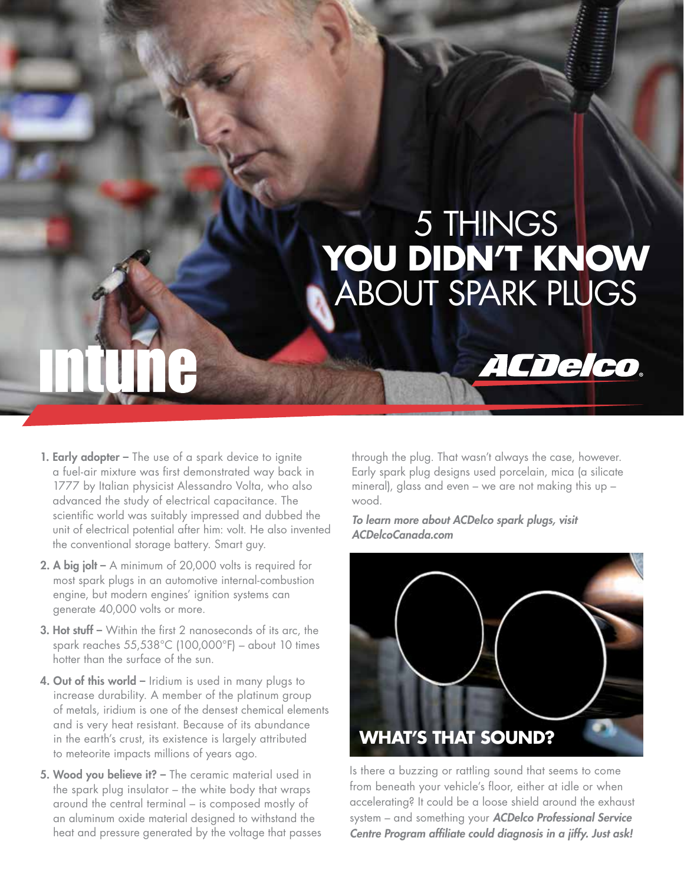# 5 THINGS **YOU DIDN'T KNOW** ABOUT SPARK PLUGS

- **1. Early adopter –** The use of a spark device to ignite a fuel-air mixture was first demonstrated way back in 1777 by Italian physicist Alessandro Volta, who also advanced the study of electrical capacitance. The scientific world was suitably impressed and dubbed the unit of electrical potential after him: volt. He also invented the conventional storage battery. Smart guy.
- 2. A big jolt A minimum of 20,000 volts is required for most spark plugs in an automotive internal-combustion engine, but modern engines' ignition systems can generate 40,000 volts or more.
- 3. Hot stuff Within the first 2 nanoseconds of its arc, the spark reaches 55,538°C (100,000°F) – about 10 times hotter than the surface of the sun.
- 4. Out of this world Iridium is used in many plugs to increase durability. A member of the platinum group of metals, iridium is one of the densest chemical elements and is very heat resistant. Because of its abundance in the earth's crust, its existence is largely attributed to meteorite impacts millions of years ago.
- 5. Wood you believe it? The ceramic material used in the spark plug insulator – the white body that wraps around the central terminal – is composed mostly of an aluminum oxide material designed to withstand the heat and pressure generated by the voltage that passes

through the plug. That wasn't always the case, however. Early spark plug designs used porcelain, mica (a silicate mineral), glass and even – we are not making this up – wood.

ACDelco.

*To learn more about ACDelco spark plugs, visit ACDelcoCanada.com*



Is there a buzzing or rattling sound that seems to come from beneath your vehicle's floor, either at idle or when accelerating? It could be a loose shield around the exhaust system – and something your *ACDelco Professional Service Centre Program affiliate could diagnosis in a jiffy. Just ask!*